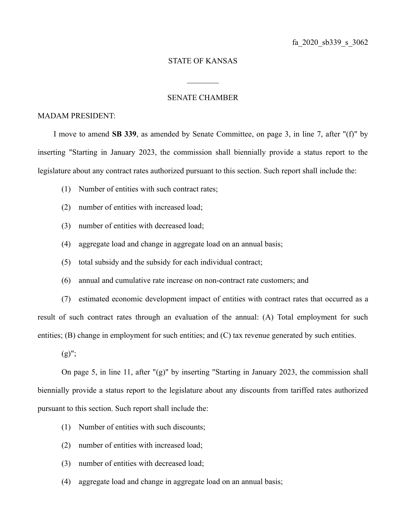## STATE OF KANSAS

 $\frac{1}{2}$ 

## SENATE CHAMBER

## MADAM PRESIDENT:

I move to amend **SB 339**, as amended by Senate Committee, on page 3, in line 7, after "(f)" by inserting "Starting in January 2023, the commission shall biennially provide a status report to the legislature about any contract rates authorized pursuant to this section. Such report shall include the:

- (1) Number of entities with such contract rates;
- (2) number of entities with increased load;
- (3) number of entities with decreased load;
- (4) aggregate load and change in aggregate load on an annual basis;
- (5) total subsidy and the subsidy for each individual contract;
- (6) annual and cumulative rate increase on non-contract rate customers; and

(7) estimated economic development impact of entities with contract rates that occurred as a result of such contract rates through an evaluation of the annual: (A) Total employment for such entities; (B) change in employment for such entities; and (C) tax revenue generated by such entities.

 $(g)$ ";

On page 5, in line 11, after "(g)" by inserting "Starting in January 2023, the commission shall biennially provide a status report to the legislature about any discounts from tariffed rates authorized pursuant to this section. Such report shall include the:

- (1) Number of entities with such discounts;
- (2) number of entities with increased load;
- (3) number of entities with decreased load;
- (4) aggregate load and change in aggregate load on an annual basis;